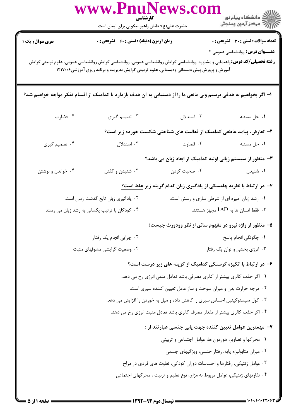|                                                                                                                    | www.PnuNews.col<br>کارشناسی<br>حضرت علی(ع): دانش راهبر نیکویی برای ایمان است                                                                                                                                                                                            |                                                                                                    |                                              |  |
|--------------------------------------------------------------------------------------------------------------------|-------------------------------------------------------------------------------------------------------------------------------------------------------------------------------------------------------------------------------------------------------------------------|----------------------------------------------------------------------------------------------------|----------------------------------------------|--|
| <b>سری سوال :</b> یک ۱                                                                                             | <b>زمان آزمون (دقیقه) : تستی : 60 ٪ تشریحی : 0</b>                                                                                                                                                                                                                      |                                                                                                    | <b>تعداد سوالات : تستی : 30 ٪ تشریحی : 0</b> |  |
|                                                                                                                    | <b>عنـــوان درس:</b> روانشناسی عمومی ۲<br><b>رشته تحصیلی/کد درس:</b> راهنمایی و مشاوره، روانشناسی گرایش روانشناسی عمومی، روانشناسی گرایش روانشناسی عمومی، علوم تربیتی گرایش<br>آموزش و پرورش پیش دبستانی ودبستانی، علوم تربیتی گرایش مدیریت و برنامه ریزی آموزشی۱۲۱۷۰۰۶ |                                                                                                    |                                              |  |
| ا– اگر بخواهیم به هدفی برسیم ولی مانعی ما را از دستیابی به آن هدف بازدارد با کدامیک از اقسام تفکر مواجه خواهیم شد؟ |                                                                                                                                                                                                                                                                         |                                                                                                    |                                              |  |
| ۰۴ قضاوت                                                                                                           | ۰۳ تصمیم گیری                                                                                                                                                                                                                                                           | ۰۲ استدلال                                                                                         | ٠١ حل مسئله                                  |  |
|                                                                                                                    |                                                                                                                                                                                                                                                                         | ۲- تعارض، پیامد عاطفی کدامیک از فعالیت های شناختی شکست خورده زیر است؟                              |                                              |  |
| ۰۴ تصمیم گیری                                                                                                      | ۰۳ استدلال                                                                                                                                                                                                                                                              | ۰۲ قضاوت استان به تصویر تاریخ شده استان به این کار استان به تصویر که به این که استان که استان که ا | ۰۱ حل مسئله                                  |  |
|                                                                                                                    |                                                                                                                                                                                                                                                                         | ۳- منظور از سیستم زبانی اولیه کدامیک از ابعاد زبان می باشد؟                                        |                                              |  |
| ۰۴ خواندن و نوشتن                                                                                                  | ۰۳ شنیدن و گفتن                                                                                                                                                                                                                                                         | ۰۲ صحبت کردن                                                                                       | ۰۱ شنیدن                                     |  |
|                                                                                                                    |                                                                                                                                                                                                                                                                         | ۴- در ارتباط با نظریه چامسکی از یادگیری زبان کدام گزینه زیر <u>غلط است؟</u>                        |                                              |  |
|                                                                                                                    | ۰۲ یادگیری زبان تابع گذشت زمان است.                                                                                                                                                                                                                                     | ۰۱ رشد زبان آمیزه ای از شرطی سازی و رسش است.                                                       |                                              |  |
|                                                                                                                    | ۰۳ فقط انسان ها به LAD مجهز هستند.<br>۰۴ کودکان با ترتیب یکسانی به رشد زبان می رسند                                                                                                                                                                                     |                                                                                                    |                                              |  |
|                                                                                                                    |                                                                                                                                                                                                                                                                         | ۵– منظور از واژه نیرو در مفهوم سائق از نظر وودورث چیست؟                                            |                                              |  |
|                                                                                                                    | ٠١. چگونگى انجام پاسخ<br>۰۲ چرایی انجام یک رفتار                                                                                                                                                                                                                        |                                                                                                    |                                              |  |
| ۰۳ انرژی بخشی و توان یک رفتار<br>۰۴ وضعیت گرایشی مشوقهای مثبت                                                      |                                                                                                                                                                                                                                                                         |                                                                                                    |                                              |  |
|                                                                                                                    |                                                                                                                                                                                                                                                                         | ۶– در ارتباط با انگیزه گرسنگی کدامیک از گزینه های زیر درست است؟                                    |                                              |  |
|                                                                                                                    |                                                                                                                                                                                                                                                                         | ٠١. اگر جذب كالري بيشتر از كالري مصرفي باشد تعادل منفي انرژي رخ مي دهد.                            |                                              |  |
| ۰۲ درجه حرارت بدن و میزان سوخت و ساز عامل تعیین کننده سیری است.                                                    |                                                                                                                                                                                                                                                                         |                                                                                                    |                                              |  |
| ۰۳ کول سیستوکینین احساس سیری را کاهش داده و میل به خوردن را افزایش می دهد.                                         |                                                                                                                                                                                                                                                                         |                                                                                                    |                                              |  |
| ۰۴ اگر جذب کالری بیشتر از مقدار مصرف کالری باشد تعادل مثبت انرژی رخ می دهد.                                        |                                                                                                                                                                                                                                                                         |                                                                                                    |                                              |  |
| ۷–  مهمترین عوامل تعیین کننده جهت یابی جنسی عبارتند از :                                                           |                                                                                                                                                                                                                                                                         |                                                                                                    |                                              |  |
| ۰۱ محرکها و تصاویر، هورمون ها، عوامل اجتماعی و تربیتی                                                              |                                                                                                                                                                                                                                                                         |                                                                                                    |                                              |  |
| ۰۲ میزان متابولیزم پایه، رفتار جنسی، ویژگیهای جسمی                                                                 |                                                                                                                                                                                                                                                                         |                                                                                                    |                                              |  |
| ۰۳ عوامل ژنتیکی، رفتارها و احساسات دوران کودکی، تفاوت های فردی در مزاج                                             |                                                                                                                                                                                                                                                                         |                                                                                                    |                                              |  |
| ۰۴ تفاوتهای ژنتیکی، عوامل مربوط به مزاج، نوع تعلیم و تربیت ، محرکهای اجتماعی                                       |                                                                                                                                                                                                                                                                         |                                                                                                    |                                              |  |

1.1./1.1.2799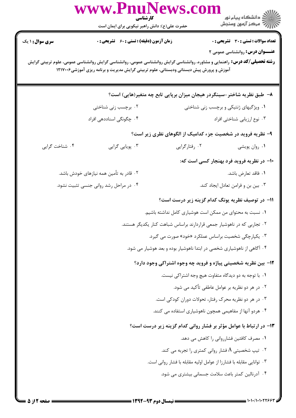| <b>سری سوال :</b> ۱ یک<br><b>زمان آزمون (دقیقه) : تستی : 60 ٪ تشریحی : 0</b><br>تعداد سوالات : تستي : 30 ٪ تشريحي : 0<br><b>عنـــوان درس:</b> روانشناسی عمومی ۲<br><b>رشته تحصیلی/کد درس:</b> راهنمایی و مشاوره، روانشناسی گرایش روانشناسی عمومی، روانشناسی گرایش روانشناسی عمومی، علوم تربیتی گرایش<br>آموزش و پرورش پیش دبستانی ودبستانی، علوم تربیتی گرایش مدیریت و برنامه ریزی آموزشی۱۲۱۷۰۰۶<br>۸– طبق نظریه شاختر-سینگردر هیجان میزان برپایی تابع چه متغیر(هایی) است؟<br>۰۱ ویژگیهای ژنتیکی و برچسب زنی شناختی<br>۰۲ برچسب زنی شناختی<br>۰۴ چگونگی اسناددهی افراد<br>۰۳ نوع ارزیابی شناختی افراد<br>۹- نظریه فروید در شخصیت جزء کدامیک از الگوهای نظری زیر است؟<br>۰۴ شناخت گرایی<br>۰۳ پویایی گرایی<br>۰۲ رفتارگرایی<br>۰۱ روان پویشی<br>۱۰– در نظریه فروید فرد بهنجار کسی است که:<br>۰۲ قادر به تأمین همه نیازهای خودش باشد.<br>٠١ فاقد تعارض باشد.<br>۰۳ بین بن و فرامن تعادل ایجاد کند.<br>۰۴ در مراحل رشد روانی جنسی تثبیت نشود.<br>1۱– در توصیف نظریه یونگ کدام گزینه زیر درست است؟<br>۰۱ نسبت به محتوای من ممکن است هوشیاری کامل نداشته باشیم.<br>۰۲ تجاربی که در ناهوشیار جمعی قراردارند براساس شباهت کنار یکدیگر هستند.<br>۰۳ یکپارچگی شخصیت براساس عملکرد «خود» صورت می گیرد.<br>۰۴ آگاهی از ناهوشیاری شخصی در ابتدا ناهوشیار بوده و بعد هوشیار می شود.<br>۱۲- بین نظریه شخصیتی پیاژه و فروید چه وجوه اشتراکی وجود دارد؟<br>۰۱ با توجه به دو دیدگاه متفاوت هیچ وجه اشتراکی نیست.<br>۰۲ در هر دو نظریه بر عوامل عاطفی تأکید می شود.<br>۰۳ در هر دو نظریه محرک رفتار، تحولات دوران کودکی است.<br>۰۴ هردو آنها از مفاهیمی همچون ناهوشیاری استفاده می کنند.<br>۱۳- در ارتباط با عوامل مؤثر بر فشار روانی کدام گزینه زیر درست است؟<br>۰۱ مصرف کافئین فشارروانی را کاهش می دهد.<br>۰۲ تیپ شخصیتی A فشار روانی کمتری را تجربه می کند. $\mathsf{A}$<br>۰۳ توانایی مقابله با فشارزا از عوامل اولیه مقابله با فشار روانی است.<br>۰۴ آدرنالین کمتر باعث سلامت جسمانی بیشتری می شود. | www.PnuNews.col<br>کارشناسی<br>حضرت علی(ع): دانش راهبر نیکویی برای ایمان است | ر<br>دانشگاه پيام نور<br>ا∛ مرکز آزمون وسنجش |
|-----------------------------------------------------------------------------------------------------------------------------------------------------------------------------------------------------------------------------------------------------------------------------------------------------------------------------------------------------------------------------------------------------------------------------------------------------------------------------------------------------------------------------------------------------------------------------------------------------------------------------------------------------------------------------------------------------------------------------------------------------------------------------------------------------------------------------------------------------------------------------------------------------------------------------------------------------------------------------------------------------------------------------------------------------------------------------------------------------------------------------------------------------------------------------------------------------------------------------------------------------------------------------------------------------------------------------------------------------------------------------------------------------------------------------------------------------------------------------------------------------------------------------------------------------------------------------------------------------------------------------------------------------------------------------------------------------------------------------------------------------------------------------------------------------------------------------------------------------------------------------------------|------------------------------------------------------------------------------|----------------------------------------------|
|                                                                                                                                                                                                                                                                                                                                                                                                                                                                                                                                                                                                                                                                                                                                                                                                                                                                                                                                                                                                                                                                                                                                                                                                                                                                                                                                                                                                                                                                                                                                                                                                                                                                                                                                                                                                                                                                                         |                                                                              |                                              |
|                                                                                                                                                                                                                                                                                                                                                                                                                                                                                                                                                                                                                                                                                                                                                                                                                                                                                                                                                                                                                                                                                                                                                                                                                                                                                                                                                                                                                                                                                                                                                                                                                                                                                                                                                                                                                                                                                         |                                                                              |                                              |
|                                                                                                                                                                                                                                                                                                                                                                                                                                                                                                                                                                                                                                                                                                                                                                                                                                                                                                                                                                                                                                                                                                                                                                                                                                                                                                                                                                                                                                                                                                                                                                                                                                                                                                                                                                                                                                                                                         |                                                                              |                                              |
|                                                                                                                                                                                                                                                                                                                                                                                                                                                                                                                                                                                                                                                                                                                                                                                                                                                                                                                                                                                                                                                                                                                                                                                                                                                                                                                                                                                                                                                                                                                                                                                                                                                                                                                                                                                                                                                                                         |                                                                              |                                              |
|                                                                                                                                                                                                                                                                                                                                                                                                                                                                                                                                                                                                                                                                                                                                                                                                                                                                                                                                                                                                                                                                                                                                                                                                                                                                                                                                                                                                                                                                                                                                                                                                                                                                                                                                                                                                                                                                                         |                                                                              |                                              |
|                                                                                                                                                                                                                                                                                                                                                                                                                                                                                                                                                                                                                                                                                                                                                                                                                                                                                                                                                                                                                                                                                                                                                                                                                                                                                                                                                                                                                                                                                                                                                                                                                                                                                                                                                                                                                                                                                         |                                                                              |                                              |
|                                                                                                                                                                                                                                                                                                                                                                                                                                                                                                                                                                                                                                                                                                                                                                                                                                                                                                                                                                                                                                                                                                                                                                                                                                                                                                                                                                                                                                                                                                                                                                                                                                                                                                                                                                                                                                                                                         |                                                                              |                                              |
|                                                                                                                                                                                                                                                                                                                                                                                                                                                                                                                                                                                                                                                                                                                                                                                                                                                                                                                                                                                                                                                                                                                                                                                                                                                                                                                                                                                                                                                                                                                                                                                                                                                                                                                                                                                                                                                                                         |                                                                              |                                              |
|                                                                                                                                                                                                                                                                                                                                                                                                                                                                                                                                                                                                                                                                                                                                                                                                                                                                                                                                                                                                                                                                                                                                                                                                                                                                                                                                                                                                                                                                                                                                                                                                                                                                                                                                                                                                                                                                                         |                                                                              |                                              |
|                                                                                                                                                                                                                                                                                                                                                                                                                                                                                                                                                                                                                                                                                                                                                                                                                                                                                                                                                                                                                                                                                                                                                                                                                                                                                                                                                                                                                                                                                                                                                                                                                                                                                                                                                                                                                                                                                         |                                                                              |                                              |
|                                                                                                                                                                                                                                                                                                                                                                                                                                                                                                                                                                                                                                                                                                                                                                                                                                                                                                                                                                                                                                                                                                                                                                                                                                                                                                                                                                                                                                                                                                                                                                                                                                                                                                                                                                                                                                                                                         |                                                                              |                                              |
|                                                                                                                                                                                                                                                                                                                                                                                                                                                                                                                                                                                                                                                                                                                                                                                                                                                                                                                                                                                                                                                                                                                                                                                                                                                                                                                                                                                                                                                                                                                                                                                                                                                                                                                                                                                                                                                                                         |                                                                              |                                              |
|                                                                                                                                                                                                                                                                                                                                                                                                                                                                                                                                                                                                                                                                                                                                                                                                                                                                                                                                                                                                                                                                                                                                                                                                                                                                                                                                                                                                                                                                                                                                                                                                                                                                                                                                                                                                                                                                                         |                                                                              |                                              |
|                                                                                                                                                                                                                                                                                                                                                                                                                                                                                                                                                                                                                                                                                                                                                                                                                                                                                                                                                                                                                                                                                                                                                                                                                                                                                                                                                                                                                                                                                                                                                                                                                                                                                                                                                                                                                                                                                         |                                                                              |                                              |
|                                                                                                                                                                                                                                                                                                                                                                                                                                                                                                                                                                                                                                                                                                                                                                                                                                                                                                                                                                                                                                                                                                                                                                                                                                                                                                                                                                                                                                                                                                                                                                                                                                                                                                                                                                                                                                                                                         |                                                                              |                                              |
|                                                                                                                                                                                                                                                                                                                                                                                                                                                                                                                                                                                                                                                                                                                                                                                                                                                                                                                                                                                                                                                                                                                                                                                                                                                                                                                                                                                                                                                                                                                                                                                                                                                                                                                                                                                                                                                                                         |                                                                              |                                              |
|                                                                                                                                                                                                                                                                                                                                                                                                                                                                                                                                                                                                                                                                                                                                                                                                                                                                                                                                                                                                                                                                                                                                                                                                                                                                                                                                                                                                                                                                                                                                                                                                                                                                                                                                                                                                                                                                                         |                                                                              |                                              |
|                                                                                                                                                                                                                                                                                                                                                                                                                                                                                                                                                                                                                                                                                                                                                                                                                                                                                                                                                                                                                                                                                                                                                                                                                                                                                                                                                                                                                                                                                                                                                                                                                                                                                                                                                                                                                                                                                         |                                                                              |                                              |
|                                                                                                                                                                                                                                                                                                                                                                                                                                                                                                                                                                                                                                                                                                                                                                                                                                                                                                                                                                                                                                                                                                                                                                                                                                                                                                                                                                                                                                                                                                                                                                                                                                                                                                                                                                                                                                                                                         |                                                                              |                                              |
|                                                                                                                                                                                                                                                                                                                                                                                                                                                                                                                                                                                                                                                                                                                                                                                                                                                                                                                                                                                                                                                                                                                                                                                                                                                                                                                                                                                                                                                                                                                                                                                                                                                                                                                                                                                                                                                                                         |                                                                              |                                              |
|                                                                                                                                                                                                                                                                                                                                                                                                                                                                                                                                                                                                                                                                                                                                                                                                                                                                                                                                                                                                                                                                                                                                                                                                                                                                                                                                                                                                                                                                                                                                                                                                                                                                                                                                                                                                                                                                                         |                                                                              |                                              |
|                                                                                                                                                                                                                                                                                                                                                                                                                                                                                                                                                                                                                                                                                                                                                                                                                                                                                                                                                                                                                                                                                                                                                                                                                                                                                                                                                                                                                                                                                                                                                                                                                                                                                                                                                                                                                                                                                         |                                                                              |                                              |
|                                                                                                                                                                                                                                                                                                                                                                                                                                                                                                                                                                                                                                                                                                                                                                                                                                                                                                                                                                                                                                                                                                                                                                                                                                                                                                                                                                                                                                                                                                                                                                                                                                                                                                                                                                                                                                                                                         |                                                                              |                                              |
|                                                                                                                                                                                                                                                                                                                                                                                                                                                                                                                                                                                                                                                                                                                                                                                                                                                                                                                                                                                                                                                                                                                                                                                                                                                                                                                                                                                                                                                                                                                                                                                                                                                                                                                                                                                                                                                                                         |                                                                              |                                              |
|                                                                                                                                                                                                                                                                                                                                                                                                                                                                                                                                                                                                                                                                                                                                                                                                                                                                                                                                                                                                                                                                                                                                                                                                                                                                                                                                                                                                                                                                                                                                                                                                                                                                                                                                                                                                                                                                                         |                                                                              |                                              |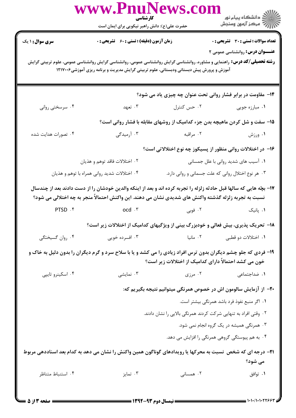|                                                                                                                                                                                                                              | كارشناسي                                                          | www.PnuNews.com                                                                                                                                                                                                               |                                                    |  |
|------------------------------------------------------------------------------------------------------------------------------------------------------------------------------------------------------------------------------|-------------------------------------------------------------------|-------------------------------------------------------------------------------------------------------------------------------------------------------------------------------------------------------------------------------|----------------------------------------------------|--|
|                                                                                                                                                                                                                              | حضرت علی(ع): دانش راهبر نیکویی برای ایمان است                     |                                                                                                                                                                                                                               |                                                    |  |
| <b>سری سوال : ۱ یک</b>                                                                                                                                                                                                       | <b>زمان آزمون (دقیقه) : تستی : 60 ٪ تشریحی : 0</b>                |                                                                                                                                                                                                                               | <b>تعداد سوالات : تستی : 30 ٪ تشریحی : 0</b>       |  |
|                                                                                                                                                                                                                              |                                                                   |                                                                                                                                                                                                                               | <b>عنـــوان درس:</b> روانشناسی عمومی ۲             |  |
|                                                                                                                                                                                                                              |                                                                   | <b>رشته تحصیلی/کد درس:</b> راهنمایی و مشاوره، روانشناسی گرایش روانشناسی عمومی، روانشناسی گرایش روانشناسی عمومی، علوم تربیتی گرایش<br>آموزش و پرورش پیش دبستانی ودبستانی، علوم تربیتی گرایش مدیریت و برنامه ریزی آموزشی۱۲۱۷۰۰۶ |                                                    |  |
|                                                                                                                                                                                                                              |                                                                   |                                                                                                                                                                                                                               |                                                    |  |
|                                                                                                                                                                                                                              |                                                                   | ۱۴- مقاومت در برابر فشار روانی تحت عنوان چه چیزی یاد می شود؟                                                                                                                                                                  |                                                    |  |
| ۰۴ سرسختی روانی                                                                                                                                                                                                              | ۰۳ تعهد                                                           | ۰۲ حس کنترل                                                                                                                                                                                                                   | ۰۱ مبارزه جويي                                     |  |
|                                                                                                                                                                                                                              |                                                                   | ۱۵- سفت و شل کردن ماهیچه بدن جزء کدامیک از روشهای مقابله با فشار روانی است؟                                                                                                                                                   |                                                    |  |
| ۰۴ تصورات هدایت شده                                                                                                                                                                                                          |                                                                   | ۰۲ مراقبه مسیدگی درمیدگی                                                                                                                                                                                                      | ۰۱ ورزش                                            |  |
|                                                                                                                                                                                                                              | ۱۶– در اختلالات روانی منظور از پسیکوز چه نوع اختلالاتی است؟       |                                                                                                                                                                                                                               |                                                    |  |
|                                                                                                                                                                                                                              | ۲. اختلالات فاقد توهم و هذيان                                     |                                                                                                                                                                                                                               | ۰۱ آسیب های شدید روانی با علل جمسانی               |  |
|                                                                                                                                                                                                                              | ۰۴ اختلالات شدید روانی همراه با توهم و هذیان                      |                                                                                                                                                                                                                               | ۰۳ هر نوع اختلال روانی که علت جسمانی و روانی دارد. |  |
| ۱۷– بچّه هایی که سالها قبل حادثه زلزله را تجربه کرده اند و بعد از اینکه والدین خودشان را از دست دادند بعد از چندسال<br>نسبت به تجربه زلزله گذشته واکنش های شدیدی نشان می دهند. این واکنش احتمالاً منجر به چه اختلالی می شود؟ |                                                                   |                                                                                                                                                                                                                               |                                                    |  |
| PTSD . f                                                                                                                                                                                                                     | $\mathrm{ocd} \cdot \mathbf{r}$                                   |                                                                                                                                                                                                                               | ۰۱ پانیک سه ۲۰ فوبی .                              |  |
|                                                                                                                                                                                                                              |                                                                   | <b>۱۸</b> - تحریک پذیری، بیش فعالی و خودبزرگ بینی از ویژگیهای کدامیک از اختلالات زیر است؟                                                                                                                                     |                                                    |  |
| ۰۴ روان گسیختگی                                                                                                                                                                                                              | ۰۳ افسرده خویی                                                    | ۰۱ اختلالات دو قطبی سیست ۲۰ مانیا                                                                                                                                                                                             |                                                    |  |
|                                                                                                                                                                                                                              |                                                                   | ۱۹- فردی که جلو چشم دیگران بدون ترس افراد زیادی را می کشد و یا با سلاح سرد و گرم دیگران را بدون دلیل به خاک و                                                                                                                 |                                                    |  |
|                                                                                                                                                                                                                              |                                                                   | خون می کشد احتمالاً دارای کدامیک از اختلالات زیر است؟                                                                                                                                                                         |                                                    |  |
| ۰۴ اسکینرو تایپی                                                                                                                                                                                                             | ۰۳ نمایشی                                                         | ۰۲ مرزی                                                                                                                                                                                                                       | ۰۱ ضداجتما <i>عی</i>                               |  |
|                                                                                                                                                                                                                              | +۲- از آزمایش سالومون اش در خصوص همرنگی میتوانیم نتیجه بگیریم که: |                                                                                                                                                                                                                               |                                                    |  |
|                                                                                                                                                                                                                              |                                                                   |                                                                                                                                                                                                                               | ۰۱ اگر منبع نفوذ فرد باشد همرنگی بیشتر است.        |  |
|                                                                                                                                                                                                                              |                                                                   | ۰۲ وقتی افراد به تنهایی شرکت کردند همرنگی بالایی را نشان دادند.                                                                                                                                                               |                                                    |  |
|                                                                                                                                                                                                                              |                                                                   |                                                                                                                                                                                                                               | ۰۳ همرنگی همیشه در یک گروه انجام نمی شود.          |  |
|                                                                                                                                                                                                                              |                                                                   |                                                                                                                                                                                                                               | ۴ . به هم پیوستگی گروهی همرنگی را افزایش می دهد.   |  |
| <b>۲۱</b> - درجه ای که شخص  نسبت به محرکها یا رویدادهای گوناگون همین واکنش را نشان می دهد به کدام بعد اسناددهی مربوط                                                                                                         |                                                                   |                                                                                                                                                                                                                               |                                                    |  |
|                                                                                                                                                                                                                              |                                                                   |                                                                                                                                                                                                                               | می شود؟                                            |  |
| ۰۴ استنباط متناظر                                                                                                                                                                                                            | ۰۳ تمایز                                                          | ۰۲ همسانی                                                                                                                                                                                                                     | ۰۱ توافق                                           |  |
|                                                                                                                                                                                                                              |                                                                   |                                                                                                                                                                                                                               |                                                    |  |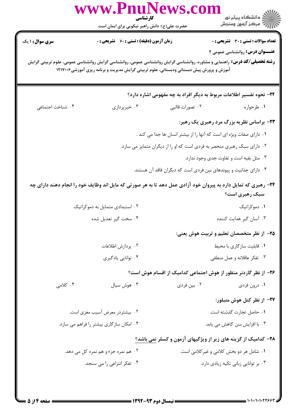| ِ<br>∭ دانشڪاه پيام نور<br>∭ مرکز آزمون وسنڊش                                                                                                                               | كارشناسي<br>حضرت علی(ع): دانش راهبر نیکویی برای ایمان است                                | www.PnuNews.col                             |                  |
|-----------------------------------------------------------------------------------------------------------------------------------------------------------------------------|------------------------------------------------------------------------------------------|---------------------------------------------|------------------|
| <b>تعداد سوالات : تستی : 30 ٪ تشریحی : 0</b>                                                                                                                                |                                                                                          | زمان آزمون (دقیقه) : تستی : 60 ٪ تشریحی : 0 | سری سوال: ۱ یک   |
| <b>عنـــوان درس:</b> روانشناسی عمومی ۲<br><b>رشته تحصیلی/کد درس:</b> راهنمایی و مشاوره، روانشناسی گرایش روانشناسی عمومی، روانشناسی گرایش روانشناسی عمومی، علوم تربیتی گرایش | آموزش و پرورش پیش دبستانی ودبستانی، علوم تربیتی گرایش مدیریت و برنامه ریزی آموزشی۱۲۱۷۰۰۶ |                                             |                  |
| ۲۲- نحوه تفسیر اطلاعات مربوط به دیگر افراد به چه مفهومی اشاره دارد؟                                                                                                         |                                                                                          |                                             |                  |
| ۰۱ طرحواره                                                                                                                                                                  | ۰۲ تصورات قالبی                                                                          | ۰۳ خبرپردازی                                | ۰۴ شناخت اجتماعی |
| ۲۳- براساس نظریه بزرگ مرد رهبری یک رهبر:                                                                                                                                    |                                                                                          |                                             |                  |
| ۰۱ دارای صفات ویژه ای است که آنها را از بیشتر انسان ها جدا می کند .                                                                                                         |                                                                                          |                                             |                  |
| ۰۲ دارای سبک رهبری منحصر به فردی است که او را از دیگران متمایز می سازد.                                                                                                     |                                                                                          |                                             |                  |
| ۰۳ مثل بقیه است و تفاوت جدی وجود ندارد.                                                                                                                                     |                                                                                          |                                             |                  |
| ۰۴ دارای جذابیت و پیوندهای بین فردی است که دیگران فاقد آن هستند.                                                                                                            |                                                                                          |                                             |                  |
| ۲۴- رهبری که تمایل دارد به پیروان خود آزادی عمل دهد تا به هر صورتی که مایل اند وظایف خود را انجام دهند دارای چه<br>سبک رهبری است؟                                           |                                                                                          |                                             |                  |
| ۰۱ دموکراتیک                                                                                                                                                                |                                                                                          | ۰۲ استبدادی متمایل به دموکراتیک             |                  |
| ۰۳ آسان گیر هدایت کننده                                                                                                                                                     |                                                                                          | ۰۴ سخت گیر تعدیل شده                        |                  |
| ۲۵– از نظر متخصصان تعلیم و تربیت هوش یعنی:                                                                                                                                  |                                                                                          |                                             |                  |
| ٠١. قابليت سازگاري با محيط                                                                                                                                                  |                                                                                          | ۰۲ پردازش اطلاعات                           |                  |
| ۰۳ تفكر عاقلانه و عمل منطقى                                                                                                                                                 |                                                                                          | ۰۴ توانایی یادگیری                          |                  |
| ۲۶– از نظر گاردنر منظور از هوش اجتماعی کدامیک از اقسام هوش است؟                                                                                                             |                                                                                          |                                             |                  |
| ۰۱ درون فردی                                                                                                                                                                | ۰۲ بین فردی                                                                              | ۰۳ هوش سيال                                 | ۰۴ کلامی         |
| ٢٧- از نظر كتل هوش متبلور:                                                                                                                                                  |                                                                                          |                                             |                  |
| ٠١ حاصل تجارت گذشته است.                                                                                                                                                    |                                                                                          | ۰۲ بیشتردر معرض آسیب مغزی است.              |                  |
| ۰۳ با افزایش سن کاهش می یابد.                                                                                                                                               |                                                                                          | ۰۴ امکان سازگاری بیشتر را فراهم می سازد.    |                  |
| ۲۸- کدامیک از گزینه های زیر از ویژگیهای آزمون و کسلر نمی باشد؟                                                                                                              |                                                                                          |                                             |                  |
| ۰۱ شامل هر دو بخش کلامی و غیر کلامی است.                                                                                                                                    |                                                                                          | ۰۲ هم نمره جزء و هم نمره کل می دهد.         |                  |
| ۰۳ بر توانایی زبانی تکیه زیادی دارد.                                                                                                                                        |                                                                                          | ۰۴ تفکر انتزاعی را می سنجد.                 |                  |